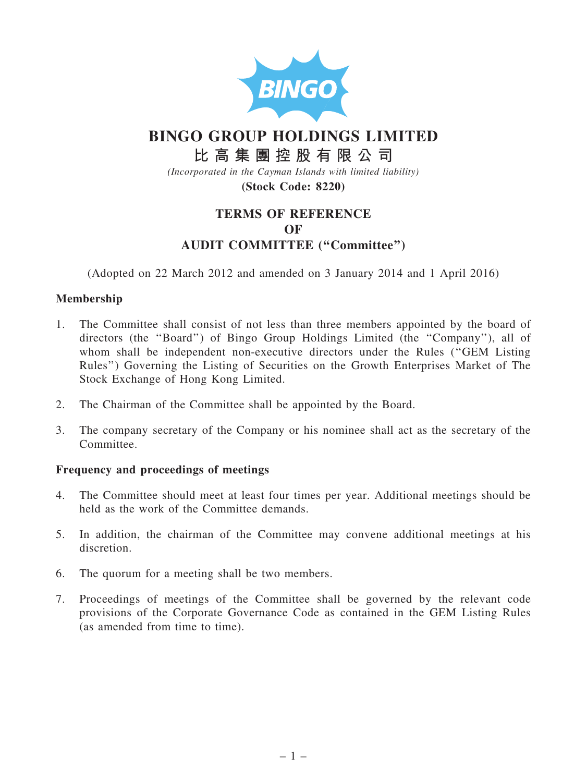

# BINGO GROUP HOLDINGS LIMITED

# 比 高 集 團 控 股 有 限 公 司

(Incorporated in the Cayman Islands with limited liability)

(Stock Code: 8220)

# TERMS OF REFERENCE OF AUDIT COMMITTEE (''Committee'')

(Adopted on 22 March 2012 and amended on 3 January 2014 and 1 April 2016)

## Membership

- 1. The Committee shall consist of not less than three members appointed by the board of directors (the ''Board'') of Bingo Group Holdings Limited (the ''Company''), all of whom shall be independent non-executive directors under the Rules ("GEM Listing Rules'') Governing the Listing of Securities on the Growth Enterprises Market of The Stock Exchange of Hong Kong Limited.
- 2. The Chairman of the Committee shall be appointed by the Board.
- 3. The company secretary of the Company or his nominee shall act as the secretary of the Committee.

### Frequency and proceedings of meetings

- 4. The Committee should meet at least four times per year. Additional meetings should be held as the work of the Committee demands.
- 5. In addition, the chairman of the Committee may convene additional meetings at his discretion.
- 6. The quorum for a meeting shall be two members.
- 7. Proceedings of meetings of the Committee shall be governed by the relevant code provisions of the Corporate Governance Code as contained in the GEM Listing Rules (as amended from time to time).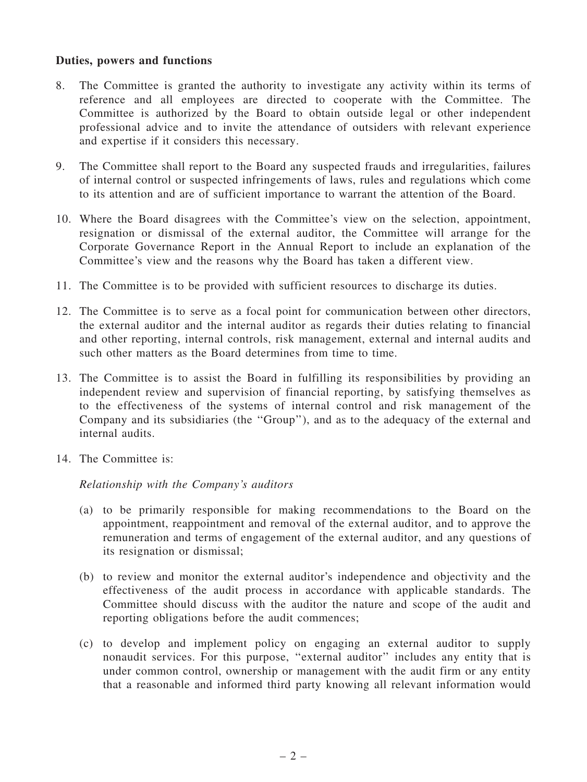### Duties, powers and functions

- 8. The Committee is granted the authority to investigate any activity within its terms of reference and all employees are directed to cooperate with the Committee. The Committee is authorized by the Board to obtain outside legal or other independent professional advice and to invite the attendance of outsiders with relevant experience and expertise if it considers this necessary.
- 9. The Committee shall report to the Board any suspected frauds and irregularities, failures of internal control or suspected infringements of laws, rules and regulations which come to its attention and are of sufficient importance to warrant the attention of the Board.
- 10. Where the Board disagrees with the Committee's view on the selection, appointment, resignation or dismissal of the external auditor, the Committee will arrange for the Corporate Governance Report in the Annual Report to include an explanation of the Committee's view and the reasons why the Board has taken a different view.
- 11. The Committee is to be provided with sufficient resources to discharge its duties.
- 12. The Committee is to serve as a focal point for communication between other directors, the external auditor and the internal auditor as regards their duties relating to financial and other reporting, internal controls, risk management, external and internal audits and such other matters as the Board determines from time to time.
- 13. The Committee is to assist the Board in fulfilling its responsibilities by providing an independent review and supervision of financial reporting, by satisfying themselves as to the effectiveness of the systems of internal control and risk management of the Company and its subsidiaries (the ''Group''), and as to the adequacy of the external and internal audits.
- 14. The Committee is:

Relationship with the Company's auditors

- (a) to be primarily responsible for making recommendations to the Board on the appointment, reappointment and removal of the external auditor, and to approve the remuneration and terms of engagement of the external auditor, and any questions of its resignation or dismissal;
- (b) to review and monitor the external auditor's independence and objectivity and the effectiveness of the audit process in accordance with applicable standards. The Committee should discuss with the auditor the nature and scope of the audit and reporting obligations before the audit commences;
- (c) to develop and implement policy on engaging an external auditor to supply nonaudit services. For this purpose, ''external auditor'' includes any entity that is under common control, ownership or management with the audit firm or any entity that a reasonable and informed third party knowing all relevant information would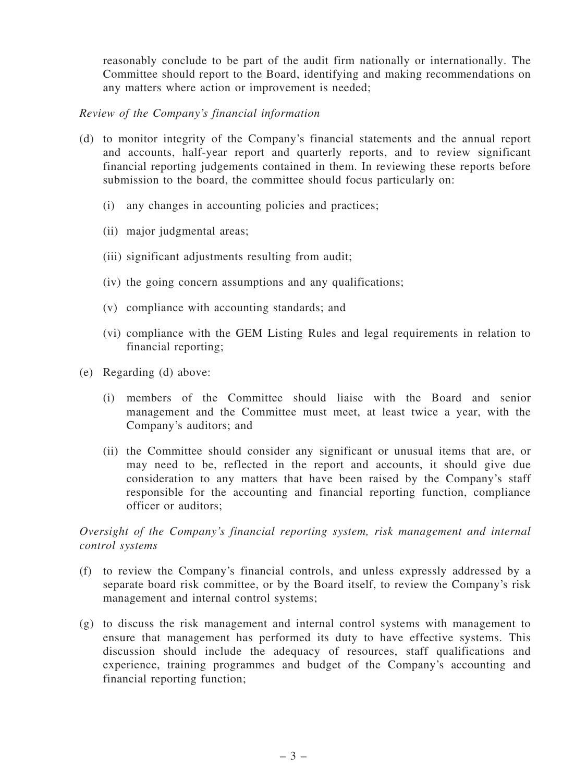reasonably conclude to be part of the audit firm nationally or internationally. The Committee should report to the Board, identifying and making recommendations on any matters where action or improvement is needed;

Review of the Company's financial information

- (d) to monitor integrity of the Company's financial statements and the annual report and accounts, half-year report and quarterly reports, and to review significant financial reporting judgements contained in them. In reviewing these reports before submission to the board, the committee should focus particularly on:
	- (i) any changes in accounting policies and practices;
	- (ii) major judgmental areas;
	- (iii) significant adjustments resulting from audit;
	- (iv) the going concern assumptions and any qualifications;
	- (v) compliance with accounting standards; and
	- (vi) compliance with the GEM Listing Rules and legal requirements in relation to financial reporting;
- (e) Regarding (d) above:
	- (i) members of the Committee should liaise with the Board and senior management and the Committee must meet, at least twice a year, with the Company's auditors; and
	- (ii) the Committee should consider any significant or unusual items that are, or may need to be, reflected in the report and accounts, it should give due consideration to any matters that have been raised by the Company's staff responsible for the accounting and financial reporting function, compliance officer or auditors;

Oversight of the Company's financial reporting system, risk management and internal control systems

- (f) to review the Company's financial controls, and unless expressly addressed by a separate board risk committee, or by the Board itself, to review the Company's risk management and internal control systems;
- (g) to discuss the risk management and internal control systems with management to ensure that management has performed its duty to have effective systems. This discussion should include the adequacy of resources, staff qualifications and experience, training programmes and budget of the Company's accounting and financial reporting function;